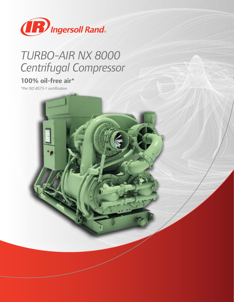

# *TURBO-AIR NX 8000 Centrifugal Compressor*

### **100% oil-free air\***

*\*Per ISO 8573-1 certification*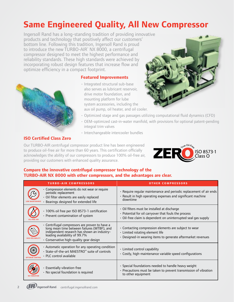## **Same Engineered Quality, All New Compressor**

Ingersoll Rand has a long-standing tradition of providing innovative products and technology that positively affect our customers' bottom line. Following this tradition, Ingersoll Rand is proud to introduce the new TURBO-AIR<sup>®</sup> NX 8000, a centrifugal compressor designed to meet the highest performance and reliability standards. These high standards were achieved by incorporating robust design features that increase flow and optimize efficiency in a compact footprint.





• Integrated structural sub-base also serves as lubricant reservoir, drive motor foundation, and mounting platform for lube system accessories, including the aux oil pump, oil heater, and oil cooler.



- Optimized stage and gas passages utilizing computational fluid dynamics (CFD)
- OEM-optimized cast-in-water manifold, with provisions for optional patent-pending integral trim valves
- Interchangeable intercooler bundles

#### **ISO Certified Class Zero**

Our TURBO-AIR centrifugal compressor product line has been engineered to produce oil-free air for more than 60 years. This certification officially acknowledges the ability of our compressors to produce 100% oil-free air, providing our customers with enhanced quality assurance.



#### **Compare the innovative centrifugal compressor technology of the TURBO-AIR NX 8000 with other compressors, and the advantages are clear.**

| <b>TURBO-AIR COMPRESSORS</b>                                                                                                                                                                                                   | <b>OTHER COMPRESSORS</b>                                                                                                                                               |
|--------------------------------------------------------------------------------------------------------------------------------------------------------------------------------------------------------------------------------|------------------------------------------------------------------------------------------------------------------------------------------------------------------------|
| • Compression elements do not wear or require<br>periodic replacement<br>· Oil filter elements are easily replaced<br>· Bearings designed for extended life                                                                    | · Require reqular maintenance and periodic replacement of air ends<br>· Result in high operating expenses and significant machine<br>downtime                          |
| · 100% oil free per ISO 8573-1 certification<br>• Prevent contamination of system                                                                                                                                              | • Oil filters must be installed at discharge<br>• Potential for oil carryover that fouls the process<br>· Oil-free claim is dependent on uninterrupted seal gas supply |
| $\cdot$ Centrifugal compressors are proven to have a<br>long mean time between failures (MTBF), and<br>independent research has shown an industry-<br>leading availability of 99.7%<br>· Conservative high-quality gear design | • Contacting compression elements are subject to wear<br>· Limited rotating element life<br>· Designed-in wearing items to generate aftermarket revenues               |
| • Automatic operation for any operating condition<br>• State-of-the-art MAESTRO™ suite of controls<br>• PLC control available                                                                                                  | • Limited control capability<br>• Costly, high-maintenance variable speed configurations                                                                               |
| · Essentially vibration-free<br>· No special foundation is required                                                                                                                                                            | • Special foundations needed to handle heavy weight<br>• Precautions must be taken to prevent transmission of vibration<br>to other equipment                          |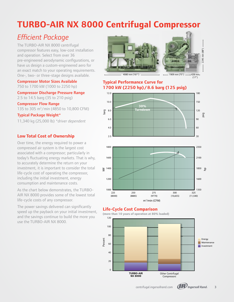### **TURBO-AIR NX 8000 Centrifugal Compressor** TURBO-AIR NA 12000 COMPRESSO

### *Efficient Package*

The TURBO-AIR NX 8000 centrifugal compressor features easy, low-cost installation and operation. Select from over 36 pre-engineered aerodynamic configurations, or have us design a custom-engineered aero for nave as assign a castom engineered acro for One-, two- or three-stage designs available.

Compressor Motor Sizes Available 750 to 1700 kW (1000 to 2250 hp)

Compressor Discharge Pressure Range Compressor Flow Range 2.5 to 14.5 barg (35 to 210 psig) **Compressor Flow Range** 135 to 305 m<sup>3</sup>/min (4850 to 10,800 CFM) Typical Package Weight\* 11,340 kg (25,000 lb) *\*driver dependent* **Lowest Compressor Operating Cost**

#### **Low Total Cost of Ownership**

Over time, the energy required to power a compressed air system is the largest cost associated with a compressor; particularly in today's fluctuating energy markets. That is why, to accurately determine the return on your investment, it is important to consider the total messiment, it is important to consider the consument, it is important to consider the co including the initial investment, energy consumption and maintenance costs.

As the chart below demonstrates, the TURBO-AIR NX 8000 provides some of the lowest total life-cycle costs of any compressor.

The power savings delivered can significantly speed up the payback on your initial investment, and the savings continue to build the more you use the TURBO-AIR NX 8000.



#### **Typical Performance Curve for 1700 kW (2250 hp)/8.6 barg (125 psig) Typical Performance Curve for**



#### **Life-Cycle Cost Comparison Life Cycle Cost Comparison**



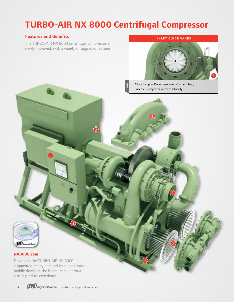# **TURBO-AIR NX 8000 Centrifugal Compressor**

**BASE**

6

#### **Features and Benefits**

The TURBO-AIR NX 8000 centrifugal compressor is newly improved, with a variety of upgraded features.



1

2

7

• Allows for up to 9% increase in turndown efficiency • Enhanced linkages for improved reliability

4



#### **NX8000.com**

Download the TURBO-AIR NX 8000 augmented reality app and then point your mobile device at the brochure cover for a virtual product experience.

5



3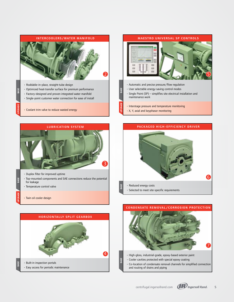

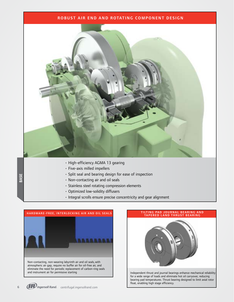#### ROBUST AIR END AND ROTATING COMPONENT DESIGN



- High-efficiency AGMA 13 gearing
- Five-axis milled impellers
- Split seal and bearing design for ease of inspection
- Non-contacting air and oil seals
- Stainless steel rotating compression elements
- Optimized low-solidity diffusers
- Integral scrolls ensure precise concentricity and gear alignment



# TILTING PAD JOURNAL BEARING AND TAPERED LAND THRUST BEARING Independent thrust and journal bearings enhance mechanical reliability for a wide range of loads and eliminate hot oil carryover, reducing bearing pad temperatures. Thrust bearing designed to limit axial rotor float, enabling high stage efficiency.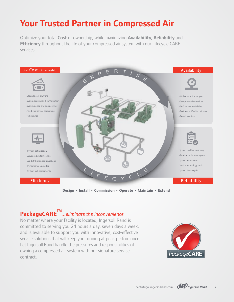### **Your Trusted Partner in Compressed Air**

SYSTEM LIFECYCLE CARE Optimize your total **Cost** of ownership, while maximizing **Availability**, **Reliability** and **Efficiency** throughout the life of your compressed air system with our Lifecycle CARE services.



**Design • Install • Commission • Operate • Maintain • Extend**

### **PackageCARETM** *...eliminate the inconvenience*

No matter where your facility is located, Ingersoll Rand is committed to serving you 24 hours a day, seven days a week, and is available to support you with innovative, cost-effective service solutions that will keep you running at peak performance. Let Ingersoll Rand handle the pressures and responsibilities of owning a compressed air system with our signature service contract.